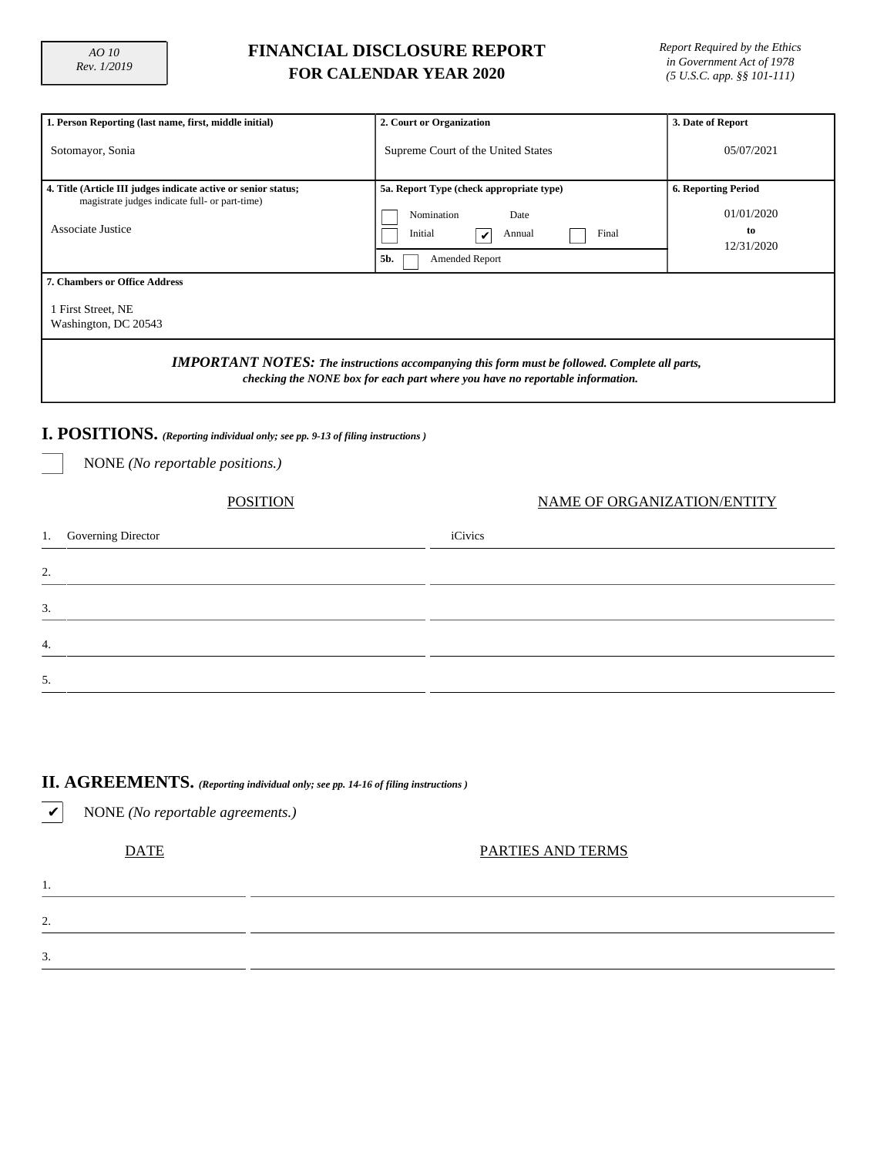3.

4.

5.

## **FINANCIAL DISCLOSURE REPORT FOR CALENDAR YEAR 2020**

*Report Required by the Ethics in Government Act of 1978 (5 U.S.C. app. §§ 101-111)*

| 1. Person Reporting (last name, first, middle initial)                                                                                                                                                                               | 2. Court or Organization                                     | 3. Date of Report |  |  |  |  |  |  |
|--------------------------------------------------------------------------------------------------------------------------------------------------------------------------------------------------------------------------------------|--------------------------------------------------------------|-------------------|--|--|--|--|--|--|
| Sotomayor, Sonia                                                                                                                                                                                                                     | Supreme Court of the United States                           |                   |  |  |  |  |  |  |
| 4. Title (Article III judges indicate active or senior status;<br>magistrate judges indicate full- or part-time)<br><b>Associate Justice</b>                                                                                         | <b>6. Reporting Period</b><br>01/01/2020<br>to<br>12/31/2020 |                   |  |  |  |  |  |  |
| <b>7. Chambers or Office Address</b>                                                                                                                                                                                                 |                                                              |                   |  |  |  |  |  |  |
| 1 First Street, NE<br>Washington, DC 20543<br><b>IMPORTANT NOTES:</b> The instructions accompanying this form must be followed. Complete all parts,<br>checking the NONE box for each part where you have no reportable information. |                                                              |                   |  |  |  |  |  |  |
| I. POSITIONS. (Reporting individual only; see pp. 9-13 of filing instructions)                                                                                                                                                       |                                                              |                   |  |  |  |  |  |  |
| NONE (No reportable positions.)                                                                                                                                                                                                      |                                                              |                   |  |  |  |  |  |  |
| NAME OF ORGANIZATION/ENTITY<br><b>POSITION</b>                                                                                                                                                                                       |                                                              |                   |  |  |  |  |  |  |
| Governing Director<br>1.                                                                                                                                                                                                             | iCivics                                                      |                   |  |  |  |  |  |  |
| 2.                                                                                                                                                                                                                                   |                                                              |                   |  |  |  |  |  |  |

# **II. AGREEMENTS.** *(Reporting individual only; see pp. 14-16 of filing instructions )*

| V  | NONE (No reportable agreements.) |                   |
|----|----------------------------------|-------------------|
|    | <b>DATE</b>                      | PARTIES AND TERMS |
| ., |                                  |                   |
| ◠  |                                  |                   |
| 3. |                                  |                   |
|    |                                  |                   |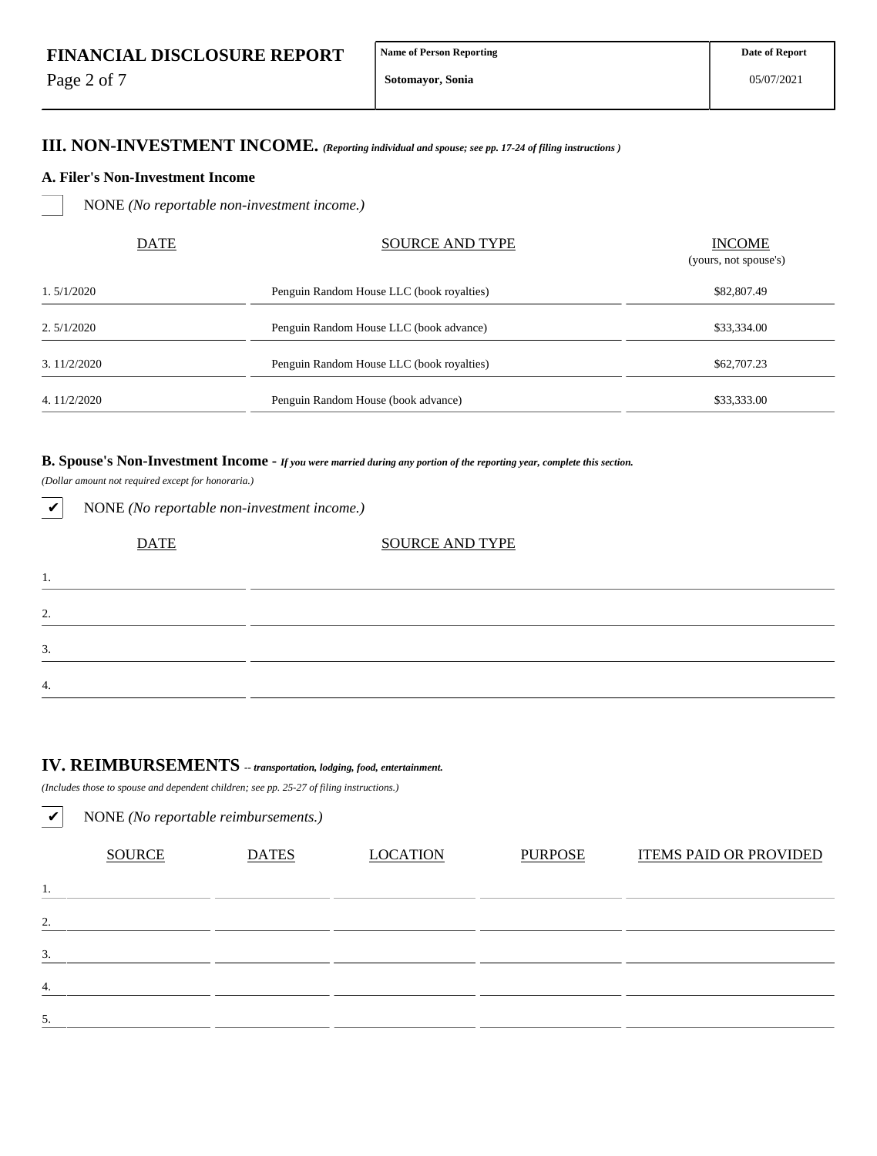Page 2 of 7

**Sotomayor, Sonia**

### **III. NON-INVESTMENT INCOME.** *(Reporting individual and spouse; see pp. 17-24 of filing instructions )*

#### **A. Filer's Non-Investment Income**

NONE *(No reportable non-investment income.)*

| <b>DATE</b> | <b>SOURCE AND TYPE</b>                    | <b>INCOME</b><br>(yours, not spouse's) |
|-------------|-------------------------------------------|----------------------------------------|
| 1.5/1/2020  | Penguin Random House LLC (book royalties) | \$82,807.49                            |
| 2.5/1/2020  | Penguin Random House LLC (book advance)   | \$33,334.00                            |
| 3.11/2/2020 | Penguin Random House LLC (book royalties) | \$62,707.23                            |
| 4.11/2/2020 | Penguin Random House (book advance)       | \$33,333.00                            |

### **B. Spouse's Non-Investment Income -** *If you were married during any portion of the reporting year, complete this section.*

*(Dollar amount not required except for honoraria.)*

✔ NONE *(No reportable non-investment income.)*

| <b>DATE</b> | <b>SOURCE AND TYPE</b> |
|-------------|------------------------|
| 1.          |                        |
| 2.          |                        |
| 3.          |                        |
| 4.          |                        |

# **IV. REIMBURSEMENTS** *-- transportation, lodging, food, entertainment.*

*(Includes those to spouse and dependent children; see pp. 25-27 of filing instructions.)*

| $\checkmark$ | NONE (No reportable reimbursements.) |              |                 |                |                               |  |  |  |  |  |  |
|--------------|--------------------------------------|--------------|-----------------|----------------|-------------------------------|--|--|--|--|--|--|
|              | <b>SOURCE</b>                        | <b>DATES</b> | <b>LOCATION</b> | <b>PURPOSE</b> | <b>ITEMS PAID OR PROVIDED</b> |  |  |  |  |  |  |
| 1.           |                                      |              |                 |                |                               |  |  |  |  |  |  |
| 2.           |                                      |              |                 |                |                               |  |  |  |  |  |  |
| 3.           |                                      |              |                 |                |                               |  |  |  |  |  |  |
| 4.           |                                      |              |                 |                |                               |  |  |  |  |  |  |
| 5.           |                                      |              |                 |                |                               |  |  |  |  |  |  |
|              |                                      |              |                 |                |                               |  |  |  |  |  |  |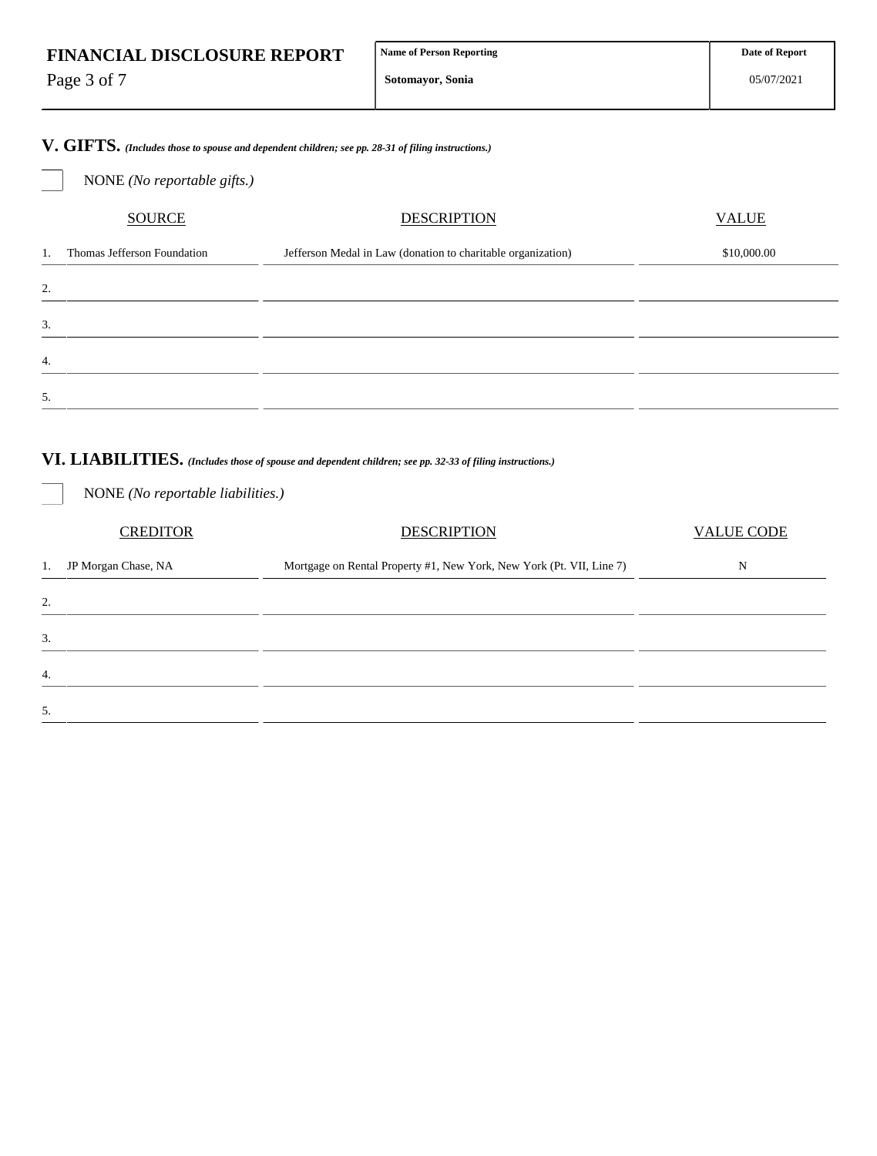Page 3 of 7

**Sotomayor, Sonia**

**V. GIFTS.** *(Includes those to spouse and dependent children; see pp. 28-31 of filing instructions.)*

|                  | NONE (No reportable gifts.) |                                                              |              |
|------------------|-----------------------------|--------------------------------------------------------------|--------------|
|                  | <b>SOURCE</b>               | <b>DESCRIPTION</b>                                           | <b>VALUE</b> |
| 1.               | Thomas Jefferson Foundation | Jefferson Medal in Law (donation to charitable organization) | \$10,000.00  |
| 2.               |                             |                                                              |              |
| 3.               |                             |                                                              |              |
| $\overline{4}$ . |                             |                                                              |              |
| 5.               |                             |                                                              |              |

# **VI. LIABILITIES.** *(Includes those of spouse and dependent children; see pp. 32-33 of filing instructions.)*

NONE *(No reportable liabilities.)*

| <b>CREDITOR</b>           | <b>DESCRIPTION</b>                                                   | <b>VALUE CODE</b> |  |  |
|---------------------------|----------------------------------------------------------------------|-------------------|--|--|
| JP Morgan Chase, NA<br>1. | Mortgage on Rental Property #1, New York, New York (Pt. VII, Line 7) | N                 |  |  |
| 2.                        |                                                                      |                   |  |  |
| 3.                        |                                                                      |                   |  |  |
| 4.                        |                                                                      |                   |  |  |
| 5.                        |                                                                      |                   |  |  |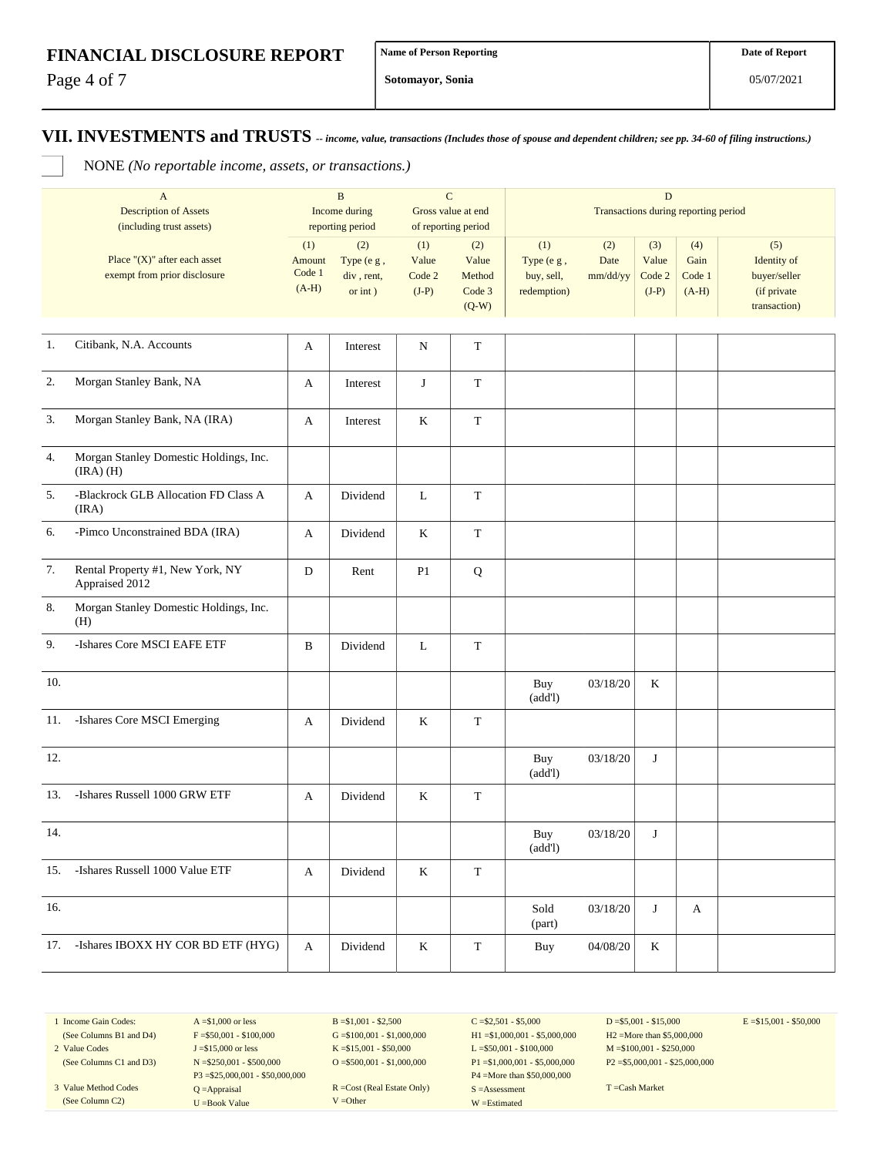Page 4 of 7

**Sotomayor, Sonia**

**VII. INVESTMENTS and TRUSTS** *-- income, value, transactions (Includes those of spouse and dependent children; see pp. 34-60 of filing instructions.)*

NONE *(No reportable income, assets, or transactions.)*

|                | $\mathbf{A}$<br><b>Description of Assets</b><br>(including trust assets) | $\, {\bf B}$<br>Income during<br>reporting period |                                                 | ${\bf C}$<br>Gross value at end<br>of reporting period |                                             | D<br>Transactions during reporting period      |                         |                                   |                                  |                                                                   |
|----------------|--------------------------------------------------------------------------|---------------------------------------------------|-------------------------------------------------|--------------------------------------------------------|---------------------------------------------|------------------------------------------------|-------------------------|-----------------------------------|----------------------------------|-------------------------------------------------------------------|
|                | Place " $(X)$ " after each asset<br>exempt from prior disclosure         | (1)<br>Amount<br>Code 1<br>$(A-H)$                | (2)<br>Type (e g,<br>div, rent,<br>$or$ int $)$ | (1)<br>Value<br>Code 2<br>$(J-P)$                      | (2)<br>Value<br>Method<br>Code 3<br>$(Q-W)$ | (1)<br>Type (e g,<br>buy, sell,<br>redemption) | (2)<br>Date<br>mm/dd/yy | (3)<br>Value<br>Code 2<br>$(J-P)$ | (4)<br>Gain<br>Code 1<br>$(A-H)$ | (5)<br>Identity of<br>buyer/seller<br>(if private<br>transaction) |
| 1.             | Citibank, N.A. Accounts                                                  | A                                                 | Interest                                        | N                                                      | $\mathbf T$                                 |                                                |                         |                                   |                                  |                                                                   |
| $\mathbf{2}$ . | Morgan Stanley Bank, NA                                                  | A                                                 | Interest                                        | $\bf J$                                                | $\mathbf T$                                 |                                                |                         |                                   |                                  |                                                                   |
| 3.             | Morgan Stanley Bank, NA (IRA)                                            | A                                                 | Interest                                        | $\bf K$                                                | $\mathbf T$                                 |                                                |                         |                                   |                                  |                                                                   |
| 4.             | Morgan Stanley Domestic Holdings, Inc.<br>$(IRA)$ $(H)$                  |                                                   |                                                 |                                                        |                                             |                                                |                         |                                   |                                  |                                                                   |
| 5.             | -Blackrock GLB Allocation FD Class A<br>(IRA)                            | A                                                 | Dividend                                        | $\mathbf{L}$                                           | $\mathbf T$                                 |                                                |                         |                                   |                                  |                                                                   |
| 6.             | -Pimco Unconstrained BDA (IRA)                                           | A                                                 | Dividend                                        | $\rm K$                                                | $\mathbf T$                                 |                                                |                         |                                   |                                  |                                                                   |
| 7.             | Rental Property #1, New York, NY<br>Appraised 2012                       | $\mathbf D$                                       | Rent                                            | P <sub>1</sub>                                         | ${\bf Q}$                                   |                                                |                         |                                   |                                  |                                                                   |
| 8.             | Morgan Stanley Domestic Holdings, Inc.<br>(H)                            |                                                   |                                                 |                                                        |                                             |                                                |                         |                                   |                                  |                                                                   |
| 9.             | -Ishares Core MSCI EAFE ETF                                              | $\, {\bf B}$                                      | Dividend                                        | L                                                      | $\mathbf T$                                 |                                                |                         |                                   |                                  |                                                                   |
| 10.            |                                                                          |                                                   |                                                 |                                                        |                                             | Buy<br>(add!)                                  | 03/18/20                | K                                 |                                  |                                                                   |
| 11.            | -Ishares Core MSCI Emerging                                              | A                                                 | Dividend                                        | $\bf K$                                                | $\mathbf T$                                 |                                                |                         |                                   |                                  |                                                                   |
| 12.            |                                                                          |                                                   |                                                 |                                                        |                                             | Buy<br>(add!)                                  | 03/18/20                | J                                 |                                  |                                                                   |
| 13.            | -Ishares Russell 1000 GRW ETF                                            | A                                                 | Dividend                                        | $\,$ K                                                 | $\mathbf T$                                 |                                                |                         |                                   |                                  |                                                                   |
| 14.            |                                                                          |                                                   |                                                 |                                                        |                                             | Buy<br>(add!)                                  | 03/18/20                | J                                 |                                  |                                                                   |
| 15.            | -Ishares Russell 1000 Value ETF                                          | A                                                 | Dividend                                        | $\rm K$                                                | $\mathbf T$                                 |                                                |                         |                                   |                                  |                                                                   |
| 16.            |                                                                          |                                                   |                                                 |                                                        |                                             | Sold<br>(part)                                 | 03/18/20                | J                                 | A                                |                                                                   |
| 17.            | -Ishares IBOXX HY COR BD ETF (HYG)                                       | A                                                 | Dividend                                        | $\rm K$                                                | $\mathbf T$                                 | Buy                                            | 04/08/20                | $\rm K$                           |                                  |                                                                   |

1 Income Gain Codes: (See Columns B1 and D4)

2 Value Codes (See Columns C1 and D3)

3 Value Method Codes (See Column C2)

 $A = $1,000$  or less  $F = $50,001 - $100,000$ J =\$15,000 or less N =\$250,001 - \$500,000 P3 =\$25,000,001 - \$50,000,000 Q =Appraisal U =Book Value

 $B = $1,001 - $2,500$  $G = $100,001 - $1,000,000$ K =\$15,001 - \$50,000  $O = $500,001 - $1,000,000$ 

R =Cost (Real Estate Only) V =Other

 $C = $2,501 - $5,000$ H1 =\$1,000,001 - \$5,000,000 L =\$50,001 - \$100,000 P1 =\$1,000,001 - \$5,000,000 P4 =More than \$50,000,000 S =Assessment W =Estimated

 $D = $5,001 - $15,000$ H2 =More than \$5,000,000 M =\$100,001 - \$250,000 P2 =\$5,000,001 - \$25,000,000  $E = $15,001 - $50,000$ 

T =Cash Market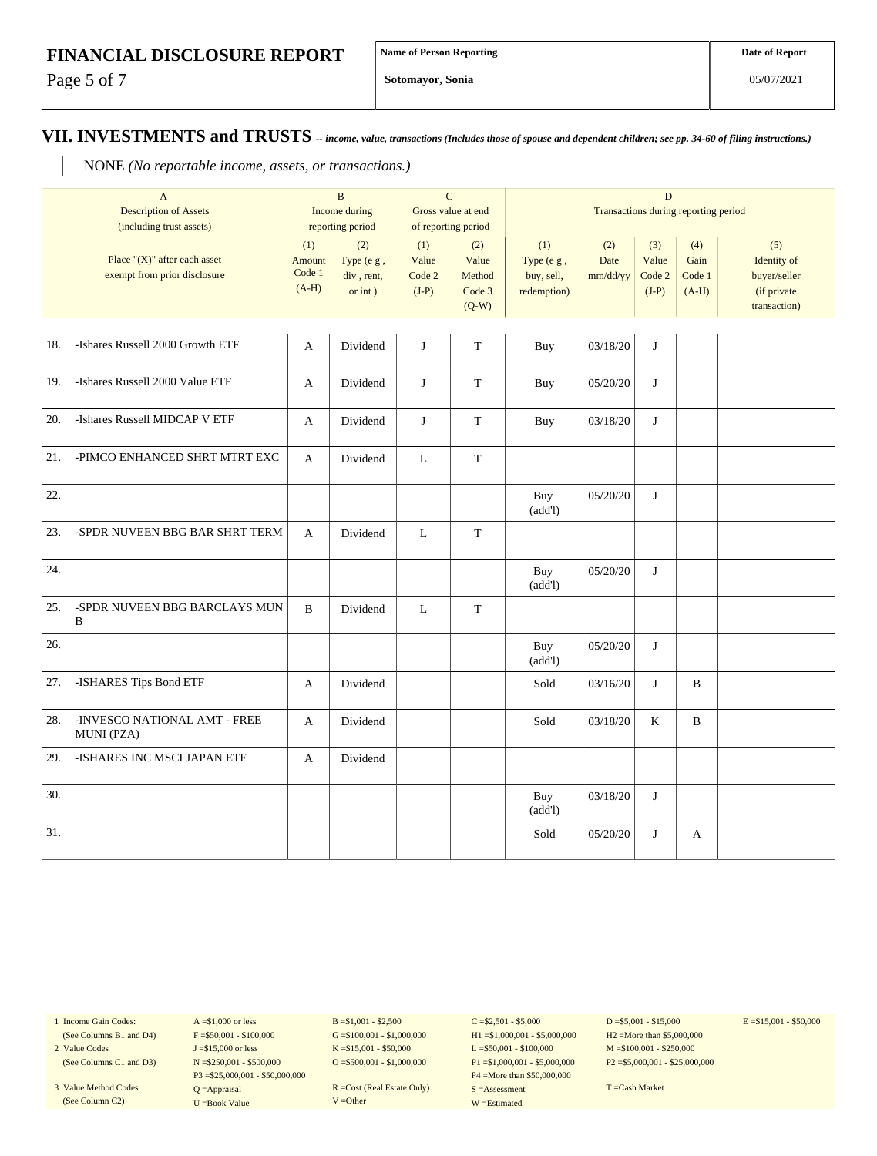Page 5 of 7

**Sotomayor, Sonia**

### **VII. INVESTMENTS and TRUSTS** *-- income, value, transactions (Includes those of spouse and dependent children; see pp. 34-60 of filing instructions.)*

NONE *(No reportable income, assets, or transactions.)*

|     | $\mathbf{A}$                                                     | $\mathbf B$                        |                                               | $\mathbf C$                               |                                             |                                                | $\mathbf D$             |                                   |                                  |                                                                   |
|-----|------------------------------------------------------------------|------------------------------------|-----------------------------------------------|-------------------------------------------|---------------------------------------------|------------------------------------------------|-------------------------|-----------------------------------|----------------------------------|-------------------------------------------------------------------|
|     | <b>Description of Assets</b><br>(including trust assets)         | Income during<br>reporting period  |                                               | Gross value at end<br>of reporting period |                                             | Transactions during reporting period           |                         |                                   |                                  |                                                                   |
|     | Place " $(X)$ " after each asset<br>exempt from prior disclosure | (1)<br>Amount<br>Code 1<br>$(A-H)$ | (2)<br>Type (e g,<br>div, rent,<br>or $int$ ) | (1)<br>Value<br>Code 2<br>$(J-P)$         | (2)<br>Value<br>Method<br>Code 3<br>$(Q-W)$ | (1)<br>Type (e g,<br>buy, sell,<br>redemption) | (2)<br>Date<br>mm/dd/yy | (3)<br>Value<br>Code 2<br>$(J-P)$ | (4)<br>Gain<br>Code 1<br>$(A-H)$ | (5)<br>Identity of<br>buyer/seller<br>(if private<br>transaction) |
|     |                                                                  |                                    |                                               |                                           |                                             |                                                |                         |                                   |                                  |                                                                   |
| 18. | -Ishares Russell 2000 Growth ETF                                 | A                                  | Dividend                                      | J                                         | $\mathbf T$                                 | Buy                                            | 03/18/20                | J                                 |                                  |                                                                   |
| 19. | -Ishares Russell 2000 Value ETF                                  | A                                  | Dividend                                      | J                                         | $\mathbf T$                                 | Buy                                            | 05/20/20                | J                                 |                                  |                                                                   |
| 20. | -Ishares Russell MIDCAP V ETF                                    | A                                  | Dividend                                      | $\bf J$                                   | $\mathbf T$                                 | Buy                                            | 03/18/20                | J                                 |                                  |                                                                   |
| 21. | -PIMCO ENHANCED SHRT MTRT EXC                                    | A                                  | Dividend                                      | L                                         | $\mathbf T$                                 |                                                |                         |                                   |                                  |                                                                   |
| 22. |                                                                  |                                    |                                               |                                           |                                             | Buy<br>(add!)                                  | 05/20/20                | J                                 |                                  |                                                                   |
| 23. | -SPDR NUVEEN BBG BAR SHRT TERM                                   | A                                  | Dividend                                      | L                                         | $\mathbf T$                                 |                                                |                         |                                   |                                  |                                                                   |
| 24. |                                                                  |                                    |                                               |                                           |                                             | Buy<br>(add!)                                  | 05/20/20                | J                                 |                                  |                                                                   |
| 25. | -SPDR NUVEEN BBG BARCLAYS MUN<br>$\, {\bf B}$                    | B                                  | Dividend                                      | L                                         | T                                           |                                                |                         |                                   |                                  |                                                                   |
| 26. |                                                                  |                                    |                                               |                                           |                                             | Buy<br>(add!)                                  | 05/20/20                | J                                 |                                  |                                                                   |
| 27. | -ISHARES Tips Bond ETF                                           | A                                  | Dividend                                      |                                           |                                             | Sold                                           | 03/16/20                | J                                 | $\, {\bf B}$                     |                                                                   |
| 28. | -INVESCO NATIONAL AMT - FREE<br>MUNI (PZA)                       | A                                  | Dividend                                      |                                           |                                             | Sold                                           | 03/18/20                | K                                 | B                                |                                                                   |
| 29. | -ISHARES INC MSCI JAPAN ETF                                      | A                                  | Dividend                                      |                                           |                                             |                                                |                         |                                   |                                  |                                                                   |
| 30. |                                                                  |                                    |                                               |                                           |                                             | Buy<br>(add!)                                  | 03/18/20                | J                                 |                                  |                                                                   |
| 31. |                                                                  |                                    |                                               |                                           |                                             | Sold                                           | 05/20/20                | J                                 | A                                |                                                                   |

1 Income Gain Codes: (See Columns B1 and D4)

2 Value Codes (See Columns C1 and D3)

3 Value Method Codes (See Column C2)

 $A = $1,000$  or less  $F = $50,001 - $100,000$ J =\$15,000 or less N =\$250,001 - \$500,000 P3 =\$25,000,001 - \$50,000,000 Q =Appraisal U =Book Value

 $B = $1,001 - $2,500$  $G = $100,001 - $1,000,000$ K =\$15,001 - \$50,000 O =  $$500,001 - $1,000,000$ 

R =Cost (Real Estate Only) V =Other

 $C = $2,501 - $5,000$ H1 =\$1,000,001 - \$5,000,000 L =\$50,001 - \$100,000 P1 =\$1,000,001 - \$5,000,000 P4 =More than \$50,000,000 S =Assessment W =Estimated

 $D = $5,001 - $15,000$ H2 =More than \$5,000,000 M =\$100,001 - \$250,000 P2 =\$5,000,001 - \$25,000,000  $E = $15,001 - $50,000$ 

T =Cash Market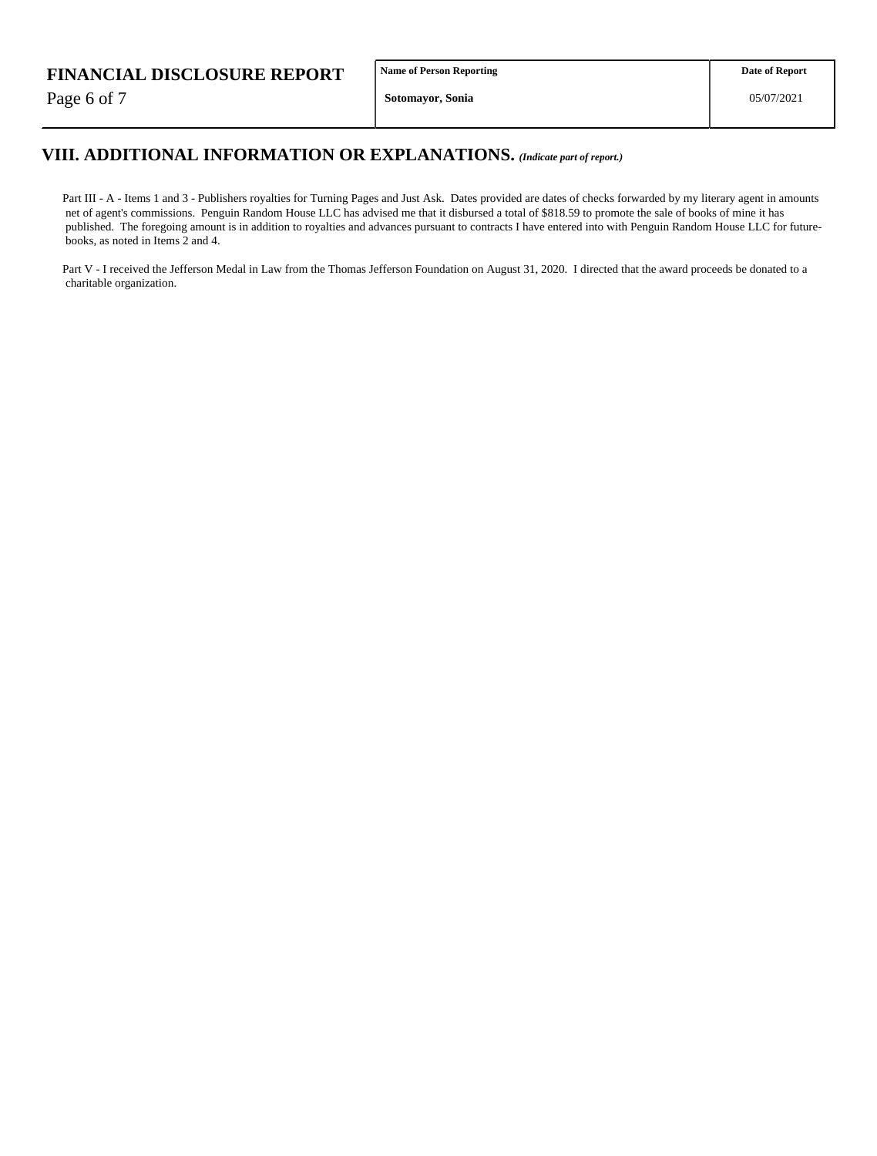Page 6 of 7

**Name of Person Reporting**

## **VIII. ADDITIONAL INFORMATION OR EXPLANATIONS.** *(Indicate part of report.)*

Part III - A - Items 1 and 3 - Publishers royalties for Turning Pages and Just Ask. Dates provided are dates of checks forwarded by my literary agent in amounts net of agent's commissions. Penguin Random House LLC has advised me that it disbursed a total of \$818.59 to promote the sale of books of mine it has published. The foregoing amount is in addition to royalties and advances pursuant to contracts I have entered into with Penguin Random House LLC for future books, as noted in Items 2 and 4.

Part V - I received the Jefferson Medal in Law from the Thomas Jefferson Foundation on August 31, 2020. I directed that the award proceeds be donated to a charitable organization.